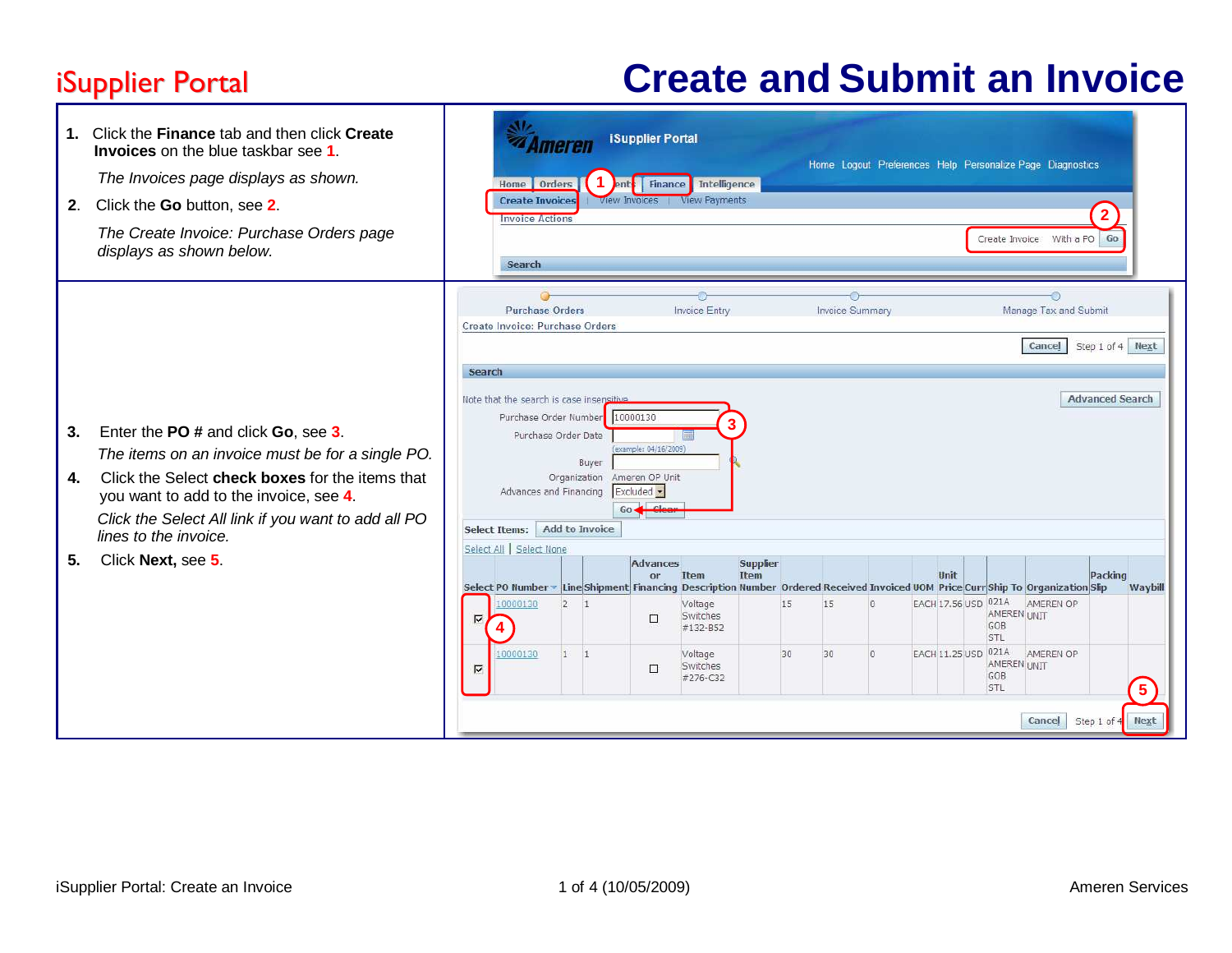## **iSupplier Portal**

## Portal **Create and Submit an Invoice**

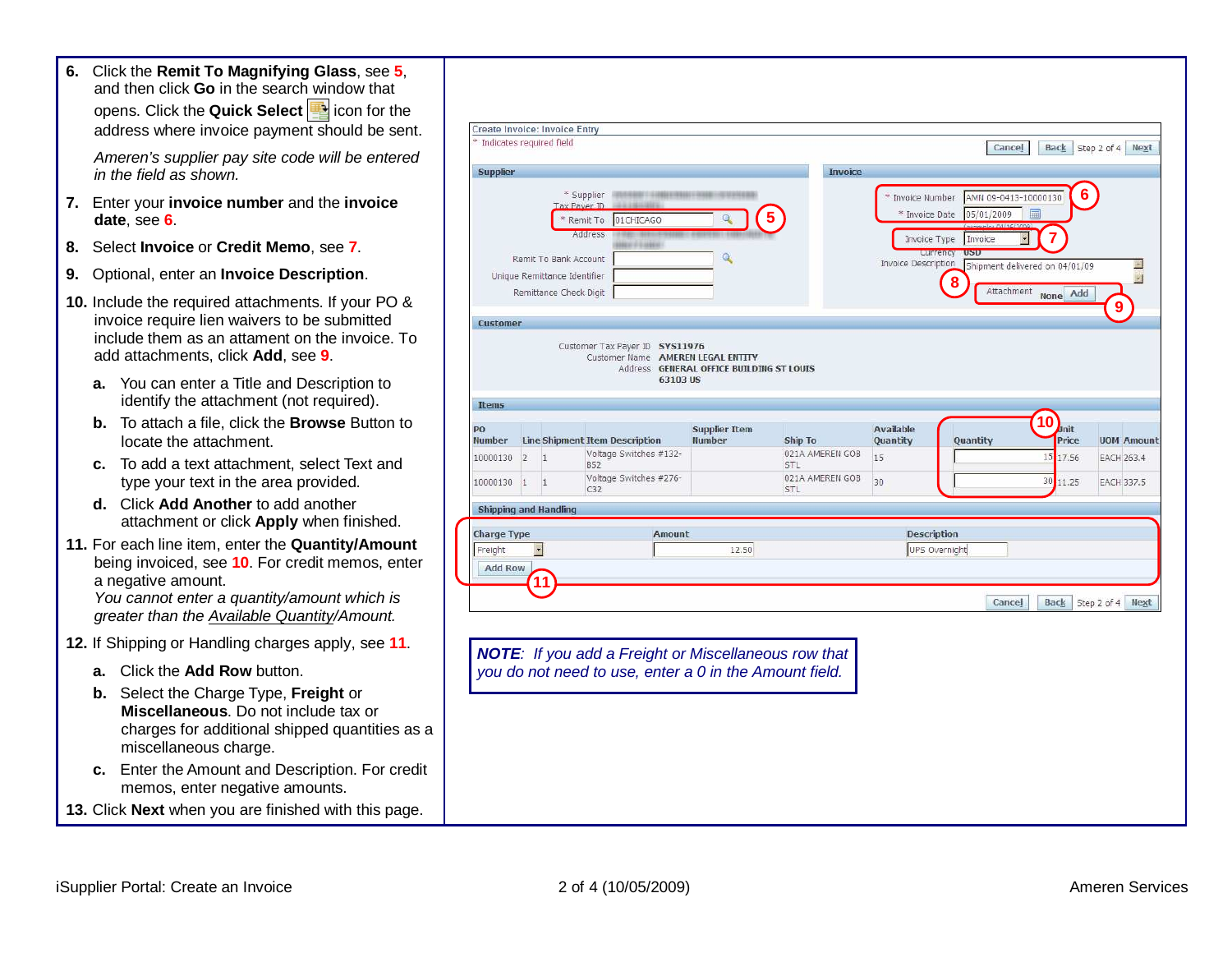**6.** Click the **Remit To Magnifying Glass**, see **5**,

|    | and then click Go in the search window that<br>opens. Click the Quick Select <b>B</b> icon for the<br>address where invoice payment should be sent.                                                                                                                              | Create Invoice: Invoice Entry<br>* Indicates required field                                                                                                                                                     |
|----|----------------------------------------------------------------------------------------------------------------------------------------------------------------------------------------------------------------------------------------------------------------------------------|-----------------------------------------------------------------------------------------------------------------------------------------------------------------------------------------------------------------|
|    | Ameren's supplier pay site code will be entered<br>in the field as shown.                                                                                                                                                                                                        | Cancel<br><b>Back</b> Step<br><b>Supplier</b><br><b>Invoice</b>                                                                                                                                                 |
|    | 7. Enter your invoice number and the invoice<br>date, see 6                                                                                                                                                                                                                      | * Supplier<br>6<br>AMN 09-0413-10000130<br>Invoice Number<br>Tax Payer III<br>05/01/2009<br>* Invoice Date<br>01CHICAGO<br>Remit To<br>Address                                                                  |
| 8. | Select Invoice or Credit Memo, see 7.                                                                                                                                                                                                                                            | Invoice Type<br>Invoice<br>Remit To Bank Account                                                                                                                                                                |
|    | 9. Optional, enter an Invoice Description.                                                                                                                                                                                                                                       | Invoice Description<br>Shipment delivered on 04/01/09<br>Unique Remittance Identifier<br>8                                                                                                                      |
|    | 10. Include the required attachments. If your PO &<br>invoice require lien waivers to be submitted<br>include them as an attament on the invoice. To<br>add attachments, click Add, see 9.                                                                                       | Attachment None Add<br>Remittance Check Digit<br>Customer<br>Customer Tax Payer ID SYS11976<br>Customer Name AMEREN LEGAL ENTITY<br>Address GENERAL OFFICE BUILDING ST LOUIS                                    |
|    | a. You can enter a Title and Description to<br>identify the attachment (not required).                                                                                                                                                                                           | 63103 US<br>Items                                                                                                                                                                                               |
|    | b. To attach a file, click the Browse Button to<br>locate the attachment.                                                                                                                                                                                                        | 10<br>Jnit<br><b>Supplier Item</b><br><b>Available</b><br>PO<br>Price<br>Number Line Shipment Item Description<br><b>Number</b><br>Ship To<br>Quantity<br>Quantity<br>Voltage Switches #132-<br>021A AMEREN GOB |
|    | To add a text attachment, select Text and<br>с.<br>type your text in the area provided.                                                                                                                                                                                          | 15<br>15 17.56<br>10000130 2 1<br><b>STL</b><br>852<br>Voltage Switches #276-<br>021A AMEREN GOB<br>30 11.25<br>30<br>10000130 1 1<br>C32<br>STL                                                                |
|    | d. Click Add Another to add another<br>attachment or click Apply when finished.                                                                                                                                                                                                  | <b>Shipping and Handling</b>                                                                                                                                                                                    |
|    | 11. For each line item, enter the Quantity/Amount<br>being invoiced, see 10. For credit memos, enter<br>a negative amount.<br>You cannot enter a quantity/amount which is<br>greater than the <b>Available Quantity/Amount</b> .                                                 | <b>Charge Type</b><br>Amount<br>Description<br>Freight<br>12.50<br>UPS Overnight<br><b>Add Row</b><br>11<br><b>Back</b> Step<br>Cancel                                                                          |
|    | 12. If Shipping or Handling charges apply, see 11.                                                                                                                                                                                                                               | <b>NOTE:</b> If you add a Freight or Miscellaneous row that                                                                                                                                                     |
|    | a. Click the Add Row button.<br>b. Select the Charge Type, Freight or<br>Miscellaneous. Do not include tax or<br>charges for additional shipped quantities as a<br>miscellaneous charge.<br>Enter the Amount and Description. For credit<br>c.<br>memos, enter negative amounts. | you do not need to use, enter a 0 in the Amount field.                                                                                                                                                          |
|    | 13. Click Next when you are finished with this page.                                                                                                                                                                                                                             |                                                                                                                                                                                                                 |

**9**

**UOM Amount EACH 263.4 EACH 337.5** 

Step 2 of 4 Next

ے Ė

Step 2 of 4 Next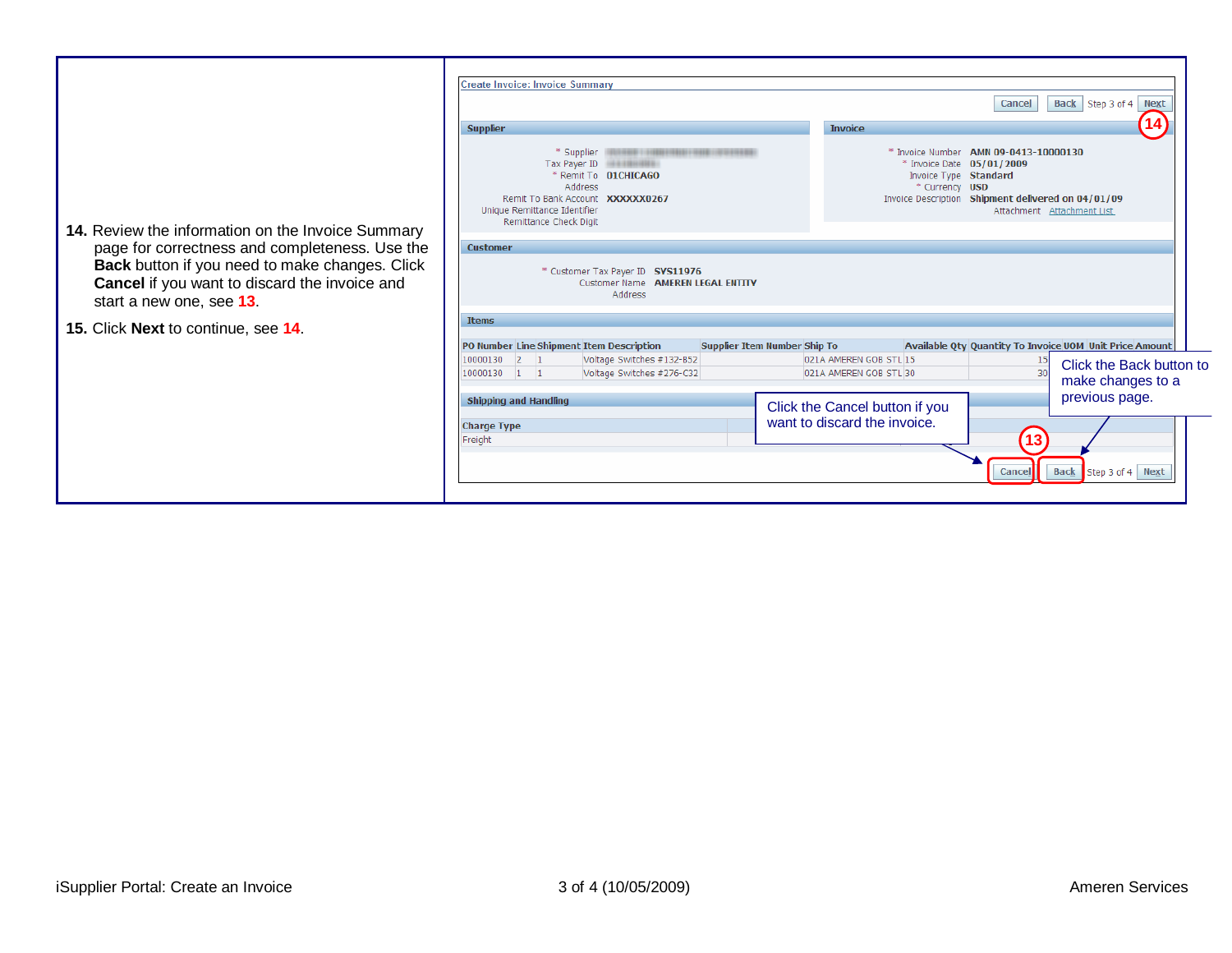